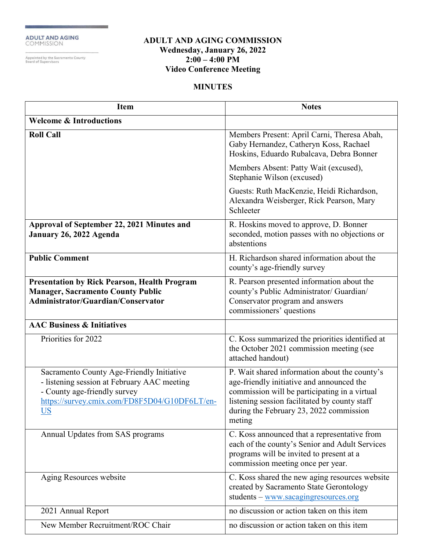ADULT AND AGING<br>COMMISSION

-<br>Appointed by the Sacramento County<br>Board of Supervisors

## **ADULT AND AGING COMMISSION Wednesday, January 26, 2022 2:00 – 4:00 PM Video Conference Meeting**

## **MINUTES**

| <b>Item</b>                                                                                                                                                                     | <b>Notes</b>                                                                                                                                                                                                                                      |
|---------------------------------------------------------------------------------------------------------------------------------------------------------------------------------|---------------------------------------------------------------------------------------------------------------------------------------------------------------------------------------------------------------------------------------------------|
| <b>Welcome &amp; Introductions</b>                                                                                                                                              |                                                                                                                                                                                                                                                   |
| <b>Roll Call</b>                                                                                                                                                                | Members Present: April Carni, Theresa Abah,<br>Gaby Hernandez, Catheryn Koss, Rachael<br>Hoskins, Eduardo Rubalcava, Debra Bonner                                                                                                                 |
|                                                                                                                                                                                 | Members Absent: Patty Wait (excused),<br>Stephanie Wilson (excused)                                                                                                                                                                               |
|                                                                                                                                                                                 | Guests: Ruth MacKenzie, Heidi Richardson,<br>Alexandra Weisberger, Rick Pearson, Mary<br>Schleeter                                                                                                                                                |
| Approval of September 22, 2021 Minutes and<br>January 26, 2022 Agenda                                                                                                           | R. Hoskins moved to approve, D. Bonner<br>seconded, motion passes with no objections or<br>abstentions                                                                                                                                            |
| <b>Public Comment</b>                                                                                                                                                           | H. Richardson shared information about the<br>county's age-friendly survey                                                                                                                                                                        |
| <b>Presentation by Rick Pearson, Health Program</b><br><b>Manager, Sacramento County Public</b><br>Administrator/Guardian/Conservator                                           | R. Pearson presented information about the<br>county's Public Administrator/ Guardian/<br>Conservator program and answers<br>commissioners' questions                                                                                             |
| <b>AAC Business &amp; Initiatives</b>                                                                                                                                           |                                                                                                                                                                                                                                                   |
| Priorities for 2022                                                                                                                                                             | C. Koss summarized the priorities identified at<br>the October 2021 commission meeting (see<br>attached handout)                                                                                                                                  |
| Sacramento County Age-Friendly Initiative<br>- listening session at February AAC meeting<br>- County age-friendly survey<br>https://survey.cmix.com/FD8F5D04/G10DF6LT/en-<br>US | P. Wait shared information about the county's<br>age-friendly initiative and announced the<br>commission will be participating in a virtual<br>listening session facilitated by county staff<br>during the February 23, 2022 commission<br>meting |
| Annual Updates from SAS programs                                                                                                                                                | C. Koss announced that a representative from<br>each of the county's Senior and Adult Services<br>programs will be invited to present at a<br>commission meeting once per year.                                                                   |
| Aging Resources website                                                                                                                                                         | C. Koss shared the new aging resources website<br>created by Sacramento State Gerontology<br>students - www.sacagingresources.org                                                                                                                 |
| 2021 Annual Report                                                                                                                                                              | no discussion or action taken on this item                                                                                                                                                                                                        |
| New Member Recruitment/ROC Chair                                                                                                                                                | no discussion or action taken on this item                                                                                                                                                                                                        |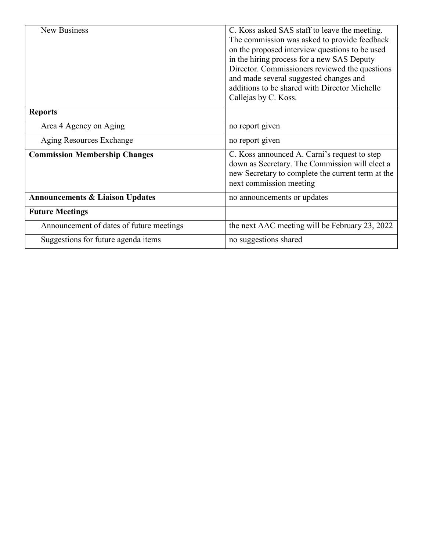| <b>New Business</b>                        | C. Koss asked SAS staff to leave the meeting.<br>The commission was asked to provide feedback<br>on the proposed interview questions to be used<br>in the hiring process for a new SAS Deputy<br>Director. Commissioners reviewed the questions<br>and made several suggested changes and |
|--------------------------------------------|-------------------------------------------------------------------------------------------------------------------------------------------------------------------------------------------------------------------------------------------------------------------------------------------|
|                                            | additions to be shared with Director Michelle<br>Callejas by C. Koss.                                                                                                                                                                                                                     |
| <b>Reports</b>                             |                                                                                                                                                                                                                                                                                           |
| Area 4 Agency on Aging                     | no report given                                                                                                                                                                                                                                                                           |
| Aging Resources Exchange                   | no report given                                                                                                                                                                                                                                                                           |
| <b>Commission Membership Changes</b>       | C. Koss announced A. Carni's request to step<br>down as Secretary. The Commission will elect a<br>new Secretary to complete the current term at the<br>next commission meeting                                                                                                            |
| <b>Announcements &amp; Liaison Updates</b> | no announcements or updates                                                                                                                                                                                                                                                               |
| <b>Future Meetings</b>                     |                                                                                                                                                                                                                                                                                           |
| Announcement of dates of future meetings   | the next AAC meeting will be February 23, 2022                                                                                                                                                                                                                                            |
| Suggestions for future agenda items        | no suggestions shared                                                                                                                                                                                                                                                                     |